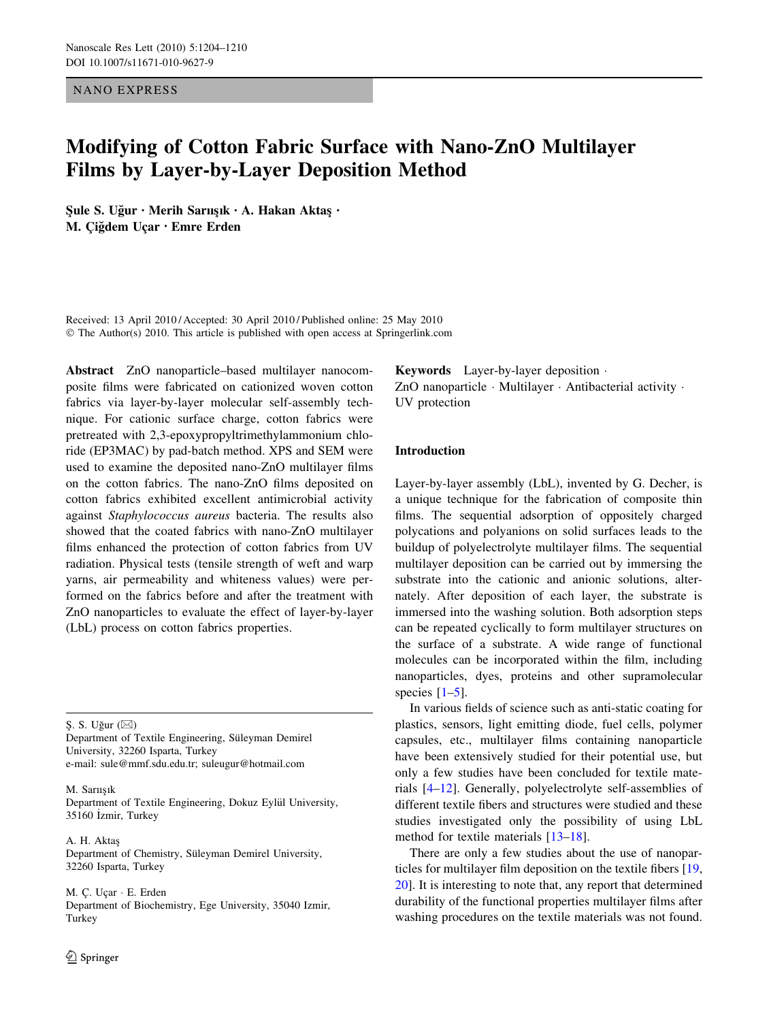## NANO EXPRESS

# Modifying of Cotton Fabric Surface with Nano-ZnO Multilayer Films by Layer-by-Layer Deposition Method

Şule S. Uğur • Merih Sarıışık • A. Hakan Aktaş • M. Ciğdem Uçar · Emre Erden

Received: 13 April 2010 / Accepted: 30 April 2010 / Published online: 25 May 2010 © The Author(s) 2010. This article is published with open access at Springerlink.com

Abstract ZnO nanoparticle–based multilayer nanocomposite films were fabricated on cationized woven cotton fabrics via layer-by-layer molecular self-assembly technique. For cationic surface charge, cotton fabrics were pretreated with 2,3-epoxypropyltrimethylammonium chloride (EP3MAC) by pad-batch method. XPS and SEM were used to examine the deposited nano-ZnO multilayer films on the cotton fabrics. The nano-ZnO films deposited on cotton fabrics exhibited excellent antimicrobial activity against Staphylococcus aureus bacteria. The results also showed that the coated fabrics with nano-ZnO multilayer films enhanced the protection of cotton fabrics from UV radiation. Physical tests (tensile strength of weft and warp yarns, air permeability and whiteness values) were performed on the fabrics before and after the treatment with ZnO nanoparticles to evaluate the effect of layer-by-layer (LbL) process on cotton fabrics properties.

S. S. Uğur  $(\boxtimes)$ 

Department of Textile Engineering, Süleyman Demirel University, 32260 Isparta, Turkey e-mail: sule@mmf.sdu.edu.tr; suleugur@hotmail.com

M. Sarıısık Department of Textile Engineering, Dokuz Eylül University, 35160 \_ Izmir, Turkey

A. H. Aktas¸ Department of Chemistry, Süleyman Demirel University, 32260 Isparta, Turkey

M. Ç. Uçar · E. Erden Department of Biochemistry, Ege University, 35040 Izmir, Turkey

Keywords Layer-by-layer deposition - ZnO nanoparticle · Multilayer · Antibacterial activity · UV protection

# Introduction

Layer-by-layer assembly (LbL), invented by G. Decher, is a unique technique for the fabrication of composite thin films. The sequential adsorption of oppositely charged polycations and polyanions on solid surfaces leads to the buildup of polyelectrolyte multilayer films. The sequential multilayer deposition can be carried out by immersing the substrate into the cationic and anionic solutions, alternately. After deposition of each layer, the substrate is immersed into the washing solution. Both adsorption steps can be repeated cyclically to form multilayer structures on the surface of a substrate. A wide range of functional molecules can be incorporated within the film, including nanoparticles, dyes, proteins and other supramolecular species  $[1-5]$ .

In various fields of science such as anti-static coating for plastics, sensors, light emitting diode, fuel cells, polymer capsules, etc., multilayer films containing nanoparticle have been extensively studied for their potential use, but only a few studies have been concluded for textile materials [[4–](#page-5-0)[12\]](#page-6-0). Generally, polyelectrolyte self-assemblies of different textile fibers and structures were studied and these studies investigated only the possibility of using LbL method for textile materials [\[13–18](#page-6-0)].

There are only a few studies about the use of nanoparticles for multilayer film deposition on the textile fibers [[19,](#page-6-0) [20](#page-6-0)]. It is interesting to note that, any report that determined durability of the functional properties multilayer films after washing procedures on the textile materials was not found.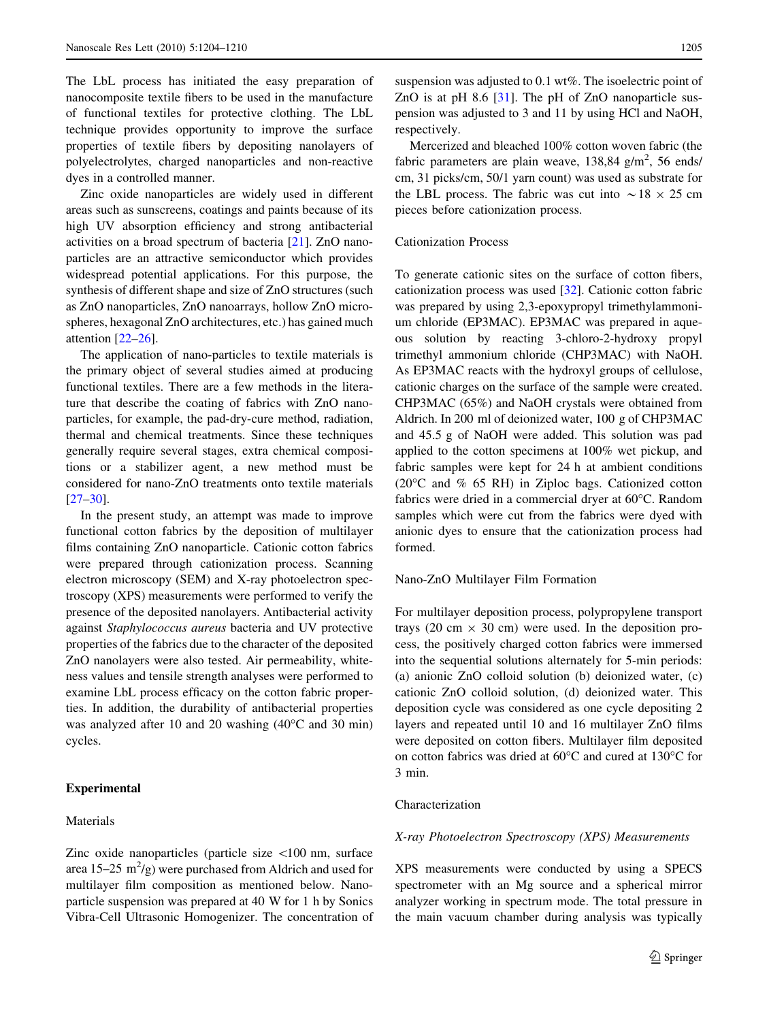The LbL process has initiated the easy preparation of nanocomposite textile fibers to be used in the manufacture of functional textiles for protective clothing. The LbL technique provides opportunity to improve the surface properties of textile fibers by depositing nanolayers of polyelectrolytes, charged nanoparticles and non-reactive dyes in a controlled manner.

Zinc oxide nanoparticles are widely used in different areas such as sunscreens, coatings and paints because of its high UV absorption efficiency and strong antibacterial activities on a broad spectrum of bacteria [\[21](#page-6-0)]. ZnO nanoparticles are an attractive semiconductor which provides widespread potential applications. For this purpose, the synthesis of different shape and size of ZnO structures (such as ZnO nanoparticles, ZnO nanoarrays, hollow ZnO microspheres, hexagonal ZnO architectures, etc.) has gained much attention [[22–26\]](#page-6-0).

The application of nano-particles to textile materials is the primary object of several studies aimed at producing functional textiles. There are a few methods in the literature that describe the coating of fabrics with ZnO nanoparticles, for example, the pad-dry-cure method, radiation, thermal and chemical treatments. Since these techniques generally require several stages, extra chemical compositions or a stabilizer agent, a new method must be considered for nano-ZnO treatments onto textile materials [\[27–30](#page-6-0)].

In the present study, an attempt was made to improve functional cotton fabrics by the deposition of multilayer films containing ZnO nanoparticle. Cationic cotton fabrics were prepared through cationization process. Scanning electron microscopy (SEM) and X-ray photoelectron spectroscopy (XPS) measurements were performed to verify the presence of the deposited nanolayers. Antibacterial activity against Staphylococcus aureus bacteria and UV protective properties of the fabrics due to the character of the deposited ZnO nanolayers were also tested. Air permeability, whiteness values and tensile strength analyses were performed to examine LbL process efficacy on the cotton fabric properties. In addition, the durability of antibacterial properties was analyzed after 10 and 20 washing  $(40^{\circ}$ C and 30 min) cycles.

#### Experimental

## Materials

Zinc oxide nanoparticles (particle size  $\lt 100$  nm, surface area  $15-25 \text{ m}^2\text{/g}$ ) were purchased from Aldrich and used for multilayer film composition as mentioned below. Nanoparticle suspension was prepared at 40 W for 1 h by Sonics Vibra-Cell Ultrasonic Homogenizer. The concentration of suspension was adjusted to 0.1 wt%. The isoelectric point of ZnO is at pH 8.6 [[31](#page-6-0)]. The pH of ZnO nanoparticle suspension was adjusted to 3 and 11 by using HCl and NaOH, respectively.

Mercerized and bleached 100% cotton woven fabric (the fabric parameters are plain weave, 138,84  $g/m^2$ , 56 ends/ cm, 31 picks/cm, 50/1 yarn count) was used as substrate for the LBL process. The fabric was cut into  $\sim$  18  $\times$  25 cm pieces before cationization process.

## Cationization Process

To generate cationic sites on the surface of cotton fibers, cationization process was used [\[32](#page-6-0)]. Cationic cotton fabric was prepared by using 2,3-epoxypropyl trimethylammonium chloride (EP3MAC). EP3MAC was prepared in aqueous solution by reacting 3-chloro-2-hydroxy propyl trimethyl ammonium chloride (CHP3MAC) with NaOH. As EP3MAC reacts with the hydroxyl groups of cellulose, cationic charges on the surface of the sample were created. CHP3MAC (65%) and NaOH crystals were obtained from Aldrich. In 200 ml of deionized water, 100 g of CHP3MAC and 45.5 g of NaOH were added. This solution was pad applied to the cotton specimens at 100% wet pickup, and fabric samples were kept for 24 h at ambient conditions (20 $\degree$ C and % 65 RH) in Ziploc bags. Cationized cotton fabrics were dried in a commercial dryer at  $60^{\circ}$ C. Random samples which were cut from the fabrics were dyed with anionic dyes to ensure that the cationization process had formed.

#### Nano-ZnO Multilayer Film Formation

For multilayer deposition process, polypropylene transport trays (20 cm  $\times$  30 cm) were used. In the deposition process, the positively charged cotton fabrics were immersed into the sequential solutions alternately for 5-min periods: (a) anionic ZnO colloid solution (b) deionized water, (c) cationic ZnO colloid solution, (d) deionized water. This deposition cycle was considered as one cycle depositing 2 layers and repeated until 10 and 16 multilayer ZnO films were deposited on cotton fibers. Multilayer film deposited on cotton fabrics was dried at  $60^{\circ}$ C and cured at 130 $^{\circ}$ C for 3 min.

# Characterization

# X-ray Photoelectron Spectroscopy (XPS) Measurements

XPS measurements were conducted by using a SPECS spectrometer with an Mg source and a spherical mirror analyzer working in spectrum mode. The total pressure in the main vacuum chamber during analysis was typically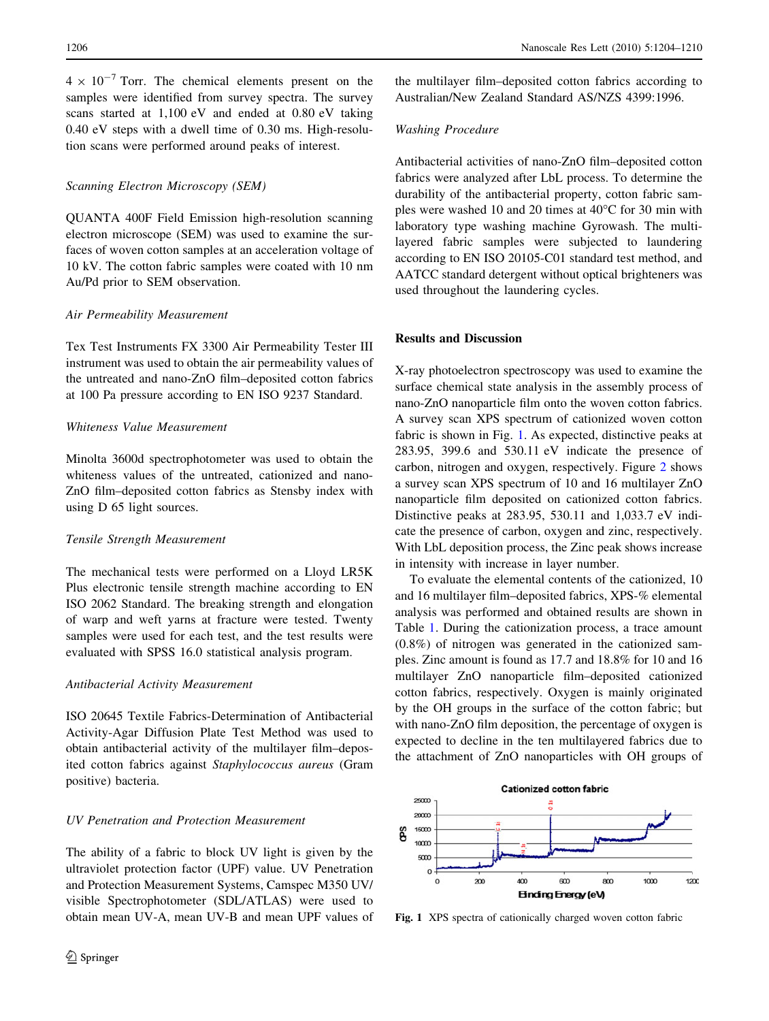$4 \times 10^{-7}$  Torr. The chemical elements present on the samples were identified from survey spectra. The survey scans started at 1,100 eV and ended at 0.80 eV taking 0.40 eV steps with a dwell time of 0.30 ms. High-resolution scans were performed around peaks of interest.

## Scanning Electron Microscopy (SEM)

QUANTA 400F Field Emission high-resolution scanning electron microscope (SEM) was used to examine the surfaces of woven cotton samples at an acceleration voltage of 10 kV. The cotton fabric samples were coated with 10 nm Au/Pd prior to SEM observation.

#### Air Permeability Measurement

Tex Test Instruments FX 3300 Air Permeability Tester III instrument was used to obtain the air permeability values of the untreated and nano-ZnO film–deposited cotton fabrics at 100 Pa pressure according to EN ISO 9237 Standard.

# Whiteness Value Measurement

Minolta 3600d spectrophotometer was used to obtain the whiteness values of the untreated, cationized and nano-ZnO film–deposited cotton fabrics as Stensby index with using D 65 light sources.

## Tensile Strength Measurement

The mechanical tests were performed on a Lloyd LR5K Plus electronic tensile strength machine according to EN ISO 2062 Standard. The breaking strength and elongation of warp and weft yarns at fracture were tested. Twenty samples were used for each test, and the test results were evaluated with SPSS 16.0 statistical analysis program.

# Antibacterial Activity Measurement

ISO 20645 Textile Fabrics-Determination of Antibacterial Activity-Agar Diffusion Plate Test Method was used to obtain antibacterial activity of the multilayer film–deposited cotton fabrics against Staphylococcus aureus (Gram positive) bacteria.

#### UV Penetration and Protection Measurement

The ability of a fabric to block UV light is given by the ultraviolet protection factor (UPF) value. UV Penetration and Protection Measurement Systems, Camspec M350 UV/ visible Spectrophotometer (SDL/ATLAS) were used to obtain mean UV-A, mean UV-B and mean UPF values of the multilayer film–deposited cotton fabrics according to Australian/New Zealand Standard AS/NZS 4399:1996.

## Washing Procedure

Antibacterial activities of nano-ZnO film–deposited cotton fabrics were analyzed after LbL process. To determine the durability of the antibacterial property, cotton fabric samples were washed 10 and 20 times at  $40^{\circ}$ C for 30 min with laboratory type washing machine Gyrowash. The multilayered fabric samples were subjected to laundering according to EN ISO 20105-C01 standard test method, and AATCC standard detergent without optical brighteners was used throughout the laundering cycles.

# Results and Discussion

X-ray photoelectron spectroscopy was used to examine the surface chemical state analysis in the assembly process of nano-ZnO nanoparticle film onto the woven cotton fabrics. A survey scan XPS spectrum of cationized woven cotton fabric is shown in Fig. 1. As expected, distinctive peaks at 283.95, 399.6 and 530.11 eV indicate the presence of carbon, nitrogen and oxygen, respectively. Figure [2](#page-3-0) shows a survey scan XPS spectrum of 10 and 16 multilayer ZnO nanoparticle film deposited on cationized cotton fabrics. Distinctive peaks at 283.95, 530.11 and 1,033.7 eV indicate the presence of carbon, oxygen and zinc, respectively. With LbL deposition process, the Zinc peak shows increase in intensity with increase in layer number.

To evaluate the elemental contents of the cationized, 10 and 16 multilayer film–deposited fabrics, XPS-% elemental analysis was performed and obtained results are shown in Table [1](#page-3-0). During the cationization process, a trace amount (0.8%) of nitrogen was generated in the cationized samples. Zinc amount is found as 17.7 and 18.8% for 10 and 16 multilayer ZnO nanoparticle film–deposited cationized cotton fabrics, respectively. Oxygen is mainly originated by the OH groups in the surface of the cotton fabric; but with nano-ZnO film deposition, the percentage of oxygen is expected to decline in the ten multilayered fabrics due to the attachment of ZnO nanoparticles with OH groups of



Fig. 1 XPS spectra of cationically charged woven cotton fabric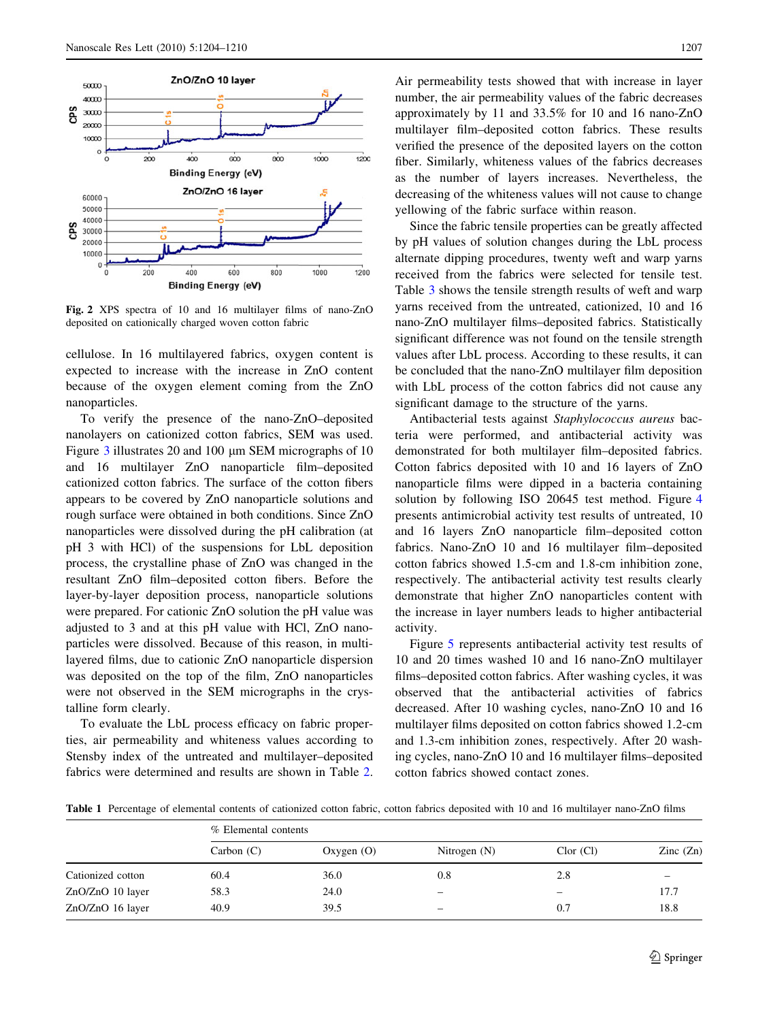<span id="page-3-0"></span>

Fig. 2 XPS spectra of 10 and 16 multilayer films of nano-ZnO deposited on cationically charged woven cotton fabric

cellulose. In 16 multilayered fabrics, oxygen content is expected to increase with the increase in ZnO content because of the oxygen element coming from the ZnO nanoparticles.

To verify the presence of the nano-ZnO–deposited nanolayers on cationized cotton fabrics, SEM was used. Figure  $3$  illustrates 20 and 100  $\mu$ m SEM micrographs of 10 and 16 multilayer ZnO nanoparticle film–deposited cationized cotton fabrics. The surface of the cotton fibers appears to be covered by ZnO nanoparticle solutions and rough surface were obtained in both conditions. Since ZnO nanoparticles were dissolved during the pH calibration (at pH 3 with HCl) of the suspensions for LbL deposition process, the crystalline phase of ZnO was changed in the resultant ZnO film–deposited cotton fibers. Before the layer-by-layer deposition process, nanoparticle solutions were prepared. For cationic ZnO solution the pH value was adjusted to 3 and at this pH value with HCl, ZnO nanoparticles were dissolved. Because of this reason, in multilayered films, due to cationic ZnO nanoparticle dispersion was deposited on the top of the film, ZnO nanoparticles were not observed in the SEM micrographs in the crystalline form clearly.

To evaluate the LbL process efficacy on fabric properties, air permeability and whiteness values according to Stensby index of the untreated and multilayer–deposited fabrics were determined and results are shown in Table [2.](#page-4-0)

Air permeability tests showed that with increase in layer number, the air permeability values of the fabric decreases approximately by 11 and 33.5% for 10 and 16 nano-ZnO multilayer film–deposited cotton fabrics. These results verified the presence of the deposited layers on the cotton fiber. Similarly, whiteness values of the fabrics decreases as the number of layers increases. Nevertheless, the decreasing of the whiteness values will not cause to change yellowing of the fabric surface within reason.

Since the fabric tensile properties can be greatly affected by pH values of solution changes during the LbL process alternate dipping procedures, twenty weft and warp yarns received from the fabrics were selected for tensile test. Table [3](#page-4-0) shows the tensile strength results of weft and warp yarns received from the untreated, cationized, 10 and 16 nano-ZnO multilayer films–deposited fabrics. Statistically significant difference was not found on the tensile strength values after LbL process. According to these results, it can be concluded that the nano-ZnO multilayer film deposition with LbL process of the cotton fabrics did not cause any significant damage to the structure of the yarns.

Antibacterial tests against Staphylococcus aureus bacteria were performed, and antibacterial activity was demonstrated for both multilayer film–deposited fabrics. Cotton fabrics deposited with 10 and 16 layers of ZnO nanoparticle films were dipped in a bacteria containing solution by following ISO 20645 test method. Figure [4](#page-5-0) presents antimicrobial activity test results of untreated, 10 and 16 layers ZnO nanoparticle film–deposited cotton fabrics. Nano-ZnO 10 and 16 multilayer film–deposited cotton fabrics showed 1.5-cm and 1.8-cm inhibition zone, respectively. The antibacterial activity test results clearly demonstrate that higher ZnO nanoparticles content with the increase in layer numbers leads to higher antibacterial activity.

Figure [5](#page-5-0) represents antibacterial activity test results of 10 and 20 times washed 10 and 16 nano-ZnO multilayer films–deposited cotton fabrics. After washing cycles, it was observed that the antibacterial activities of fabrics decreased. After 10 washing cycles, nano-ZnO 10 and 16 multilayer films deposited on cotton fabrics showed 1.2-cm and 1.3-cm inhibition zones, respectively. After 20 washing cycles, nano-ZnO 10 and 16 multilayer films–deposited cotton fabrics showed contact zones.

Table 1 Percentage of elemental contents of cationized cotton fabric, cotton fabrics deposited with 10 and 16 multilayer nano-ZnO films

|                   | % Elemental contents |              |                |             |             |  |
|-------------------|----------------------|--------------|----------------|-------------|-------------|--|
|                   | Carbon $(C)$         | Oxygen $(O)$ | Nitrogen $(N)$ | $Clor$ (Cl) | Zinc $(Zn)$ |  |
| Cationized cotton | 60.4                 | 36.0         | 0.8            | 2.8         | -           |  |
| ZnO/ZnO 10 layer  | 58.3                 | 24.0         | -              | -           | 17.7        |  |
| ZnO/ZnO 16 layer  | 40.9                 | 39.5         | -              | 0.7         | 18.8        |  |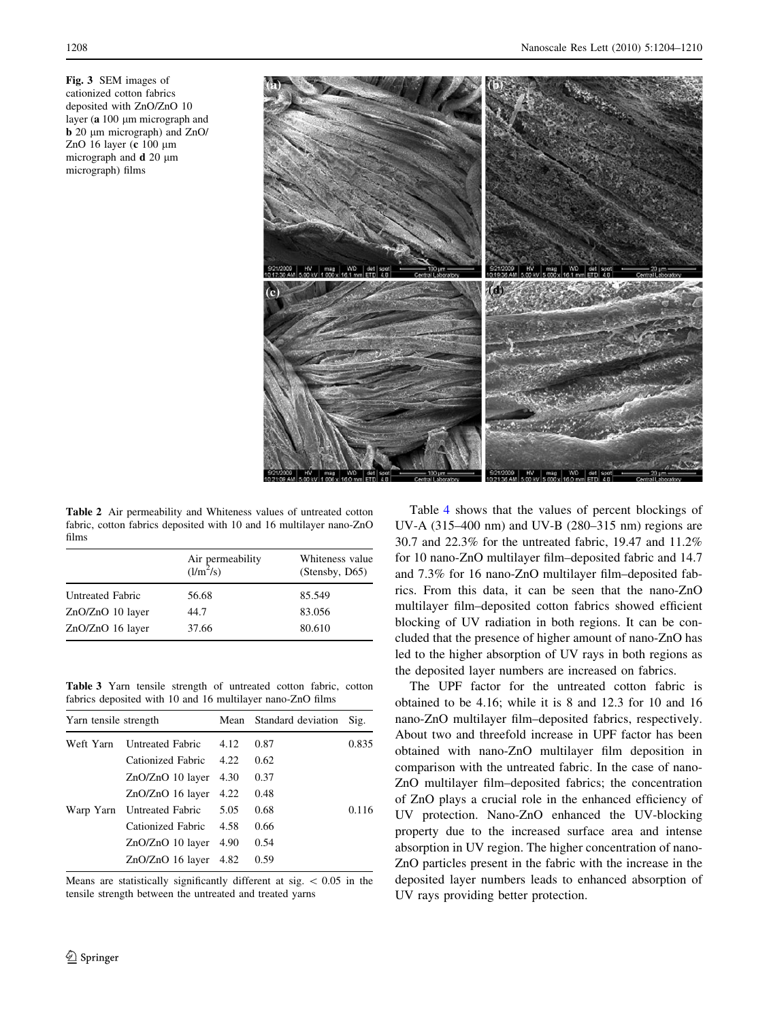<span id="page-4-0"></span>Fig. 3 SEM images of cationized cotton fabrics deposited with ZnO/ZnO 10 layer ( $a$  100  $\mu$ m micrograph and b 20 lm micrograph) and ZnO/ ZnO 16 layer ( $c$  100  $\mu$ m micrograph and  $d$  20  $\mu$ m micrograph) films



Table 2 Air permeability and Whiteness values of untreated cotton fabric, cotton fabrics deposited with 10 and 16 multilayer nano-ZnO films

|                  | Air permeability $(l/m^2/s)$ | Whiteness value<br>(Stensby, D65) |
|------------------|------------------------------|-----------------------------------|
| Untreated Fabric | 56.68                        | 85.549                            |
| ZnO/ZnO 10 layer | 44.7                         | 83.056                            |
| ZnO/ZnO 16 layer | 37.66                        | 80.610                            |

Table 3 Yarn tensile strength of untreated cotton fabric, cotton fabrics deposited with 10 and 16 multilayer nano-ZnO films

| Yarn tensile strength |                         |      | Mean Standard deviation | Sig.  |
|-----------------------|-------------------------|------|-------------------------|-------|
| Weft Yarn             | Untreated Fabric        | 4.12 | 0.87                    | 0.835 |
|                       | Cationized Fabric       | 4.22 | 0.62                    |       |
|                       | $ZnO/ZnO$ 10 layer      | 4.30 | 0.37                    |       |
|                       | $ZnO/ZnO$ 16 layer      | 4.22 | 0.48                    |       |
| Warp Yarn             | Untreated Fabric        | 5.05 | 0.68                    | 0.116 |
|                       | Cationized Fabric 4.58  |      | 0.66                    |       |
|                       | $ZnO/ZnO$ 10 layer      | 4.90 | 0.54                    |       |
|                       | $ZnO/ZnO$ 16 layer 4.82 |      | 0.59                    |       |

Means are statistically significantly different at sig.  $\lt$  0.05 in the tensile strength between the untreated and treated yarns

Table [4](#page-5-0) shows that the values of percent blockings of UV-A (315–400 nm) and UV-B (280–315 nm) regions are 30.7 and 22.3% for the untreated fabric, 19.47 and 11.2% for 10 nano-ZnO multilayer film–deposited fabric and 14.7 and 7.3% for 16 nano-ZnO multilayer film–deposited fabrics. From this data, it can be seen that the nano-ZnO multilayer film–deposited cotton fabrics showed efficient blocking of UV radiation in both regions. It can be concluded that the presence of higher amount of nano-ZnO has led to the higher absorption of UV rays in both regions as the deposited layer numbers are increased on fabrics.

The UPF factor for the untreated cotton fabric is obtained to be 4.16; while it is 8 and 12.3 for 10 and 16 nano-ZnO multilayer film–deposited fabrics, respectively. About two and threefold increase in UPF factor has been obtained with nano-ZnO multilayer film deposition in comparison with the untreated fabric. In the case of nano-ZnO multilayer film–deposited fabrics; the concentration of ZnO plays a crucial role in the enhanced efficiency of UV protection. Nano-ZnO enhanced the UV-blocking property due to the increased surface area and intense absorption in UV region. The higher concentration of nano-ZnO particles present in the fabric with the increase in the deposited layer numbers leads to enhanced absorption of UV rays providing better protection.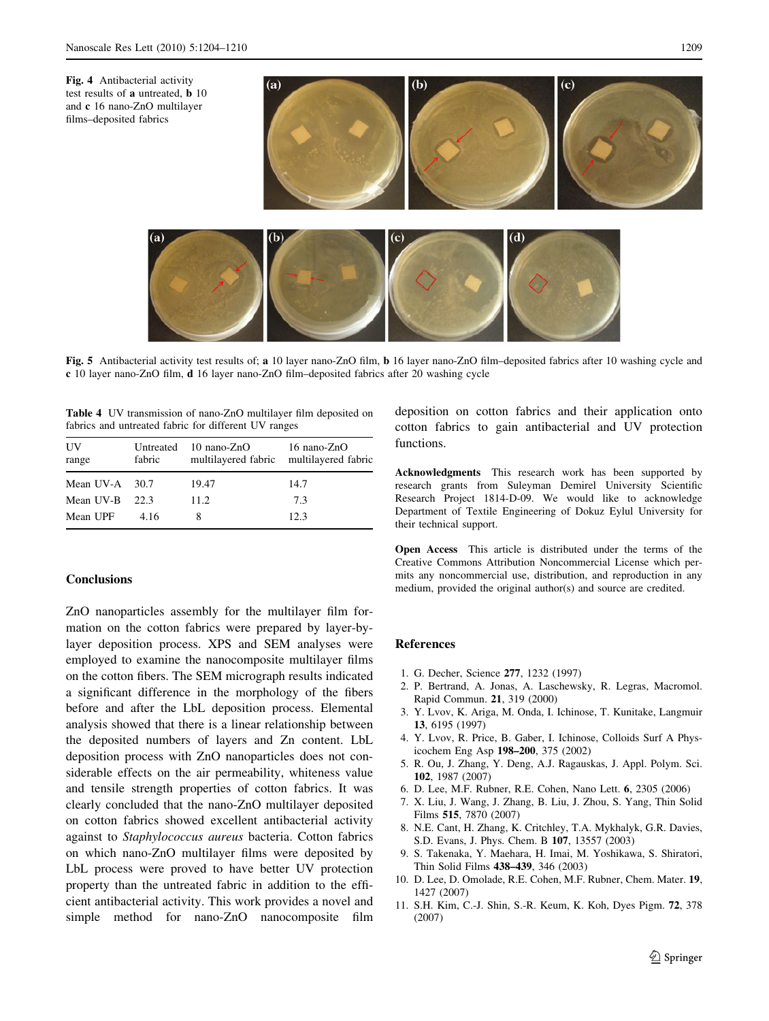$(a)$ 

Fig. 4 Antibacterial activity test results of a untreated, b 10 and c 16 nano-ZnO multilayer films–deposited fabrics

<span id="page-5-0"></span>

Fig. 5 Antibacterial activity test results of; a 10 layer nano-ZnO film, b 16 layer nano-ZnO film–deposited fabrics after 10 washing cycle and c 10 layer nano-ZnO film, d 16 layer nano-ZnO film–deposited fabrics after 20 washing cycle

|  |                                                      |  | <b>Table 4</b> UV transmission of nano-ZnO multilayer film deposited on |  |
|--|------------------------------------------------------|--|-------------------------------------------------------------------------|--|
|  | fabrics and untreated fabric for different UV ranges |  |                                                                         |  |

| UV<br>range      | Untreated<br>fabric | 10 nano-ZnO<br>multilayered fabric | 16 nano-ZnO<br>multilayered fabric |
|------------------|---------------------|------------------------------------|------------------------------------|
| Mean UV-A $30.7$ |                     | 19.47                              | 14.7                               |
| Mean UV-B        | 22.3                | 11.2                               | 7.3                                |
| Mean UPF         | 4.16                | 8                                  | 12.3                               |

## **Conclusions**

ZnO nanoparticles assembly for the multilayer film formation on the cotton fabrics were prepared by layer-bylayer deposition process. XPS and SEM analyses were employed to examine the nanocomposite multilayer films on the cotton fibers. The SEM micrograph results indicated a significant difference in the morphology of the fibers before and after the LbL deposition process. Elemental analysis showed that there is a linear relationship between the deposited numbers of layers and Zn content. LbL deposition process with ZnO nanoparticles does not considerable effects on the air permeability, whiteness value and tensile strength properties of cotton fabrics. It was clearly concluded that the nano-ZnO multilayer deposited on cotton fabrics showed excellent antibacterial activity against to Staphylococcus aureus bacteria. Cotton fabrics on which nano-ZnO multilayer films were deposited by LbL process were proved to have better UV protection property than the untreated fabric in addition to the efficient antibacterial activity. This work provides a novel and simple method for nano-ZnO nanocomposite film deposition on cotton fabrics and their application onto cotton fabrics to gain antibacterial and UV protection functions.

Acknowledgments This research work has been supported by research grants from Suleyman Demirel University Scientific Research Project 1814-D-09. We would like to acknowledge Department of Textile Engineering of Dokuz Eylul University for their technical support.

Open Access This article is distributed under the terms of the Creative Commons Attribution Noncommercial License which permits any noncommercial use, distribution, and reproduction in any medium, provided the original author(s) and source are credited.

#### References

- 1. G. Decher, Science 277, 1232 (1997)
- 2. P. Bertrand, A. Jonas, A. Laschewsky, R. Legras, Macromol. Rapid Commun. 21, 319 (2000)
- 3. Y. Lvov, K. Ariga, M. Onda, I. Ichinose, T. Kunitake, Langmuir 13, 6195 (1997)
- 4. Y. Lvov, R. Price, B. Gaber, I. Ichinose, Colloids Surf A Physicochem Eng Asp 198–200, 375 (2002)
- 5. R. Ou, J. Zhang, Y. Deng, A.J. Ragauskas, J. Appl. Polym. Sci. 102, 1987 (2007)
- 6. D. Lee, M.F. Rubner, R.E. Cohen, Nano Lett. 6, 2305 (2006)
- 7. X. Liu, J. Wang, J. Zhang, B. Liu, J. Zhou, S. Yang, Thin Solid Films 515, 7870 (2007)
- 8. N.E. Cant, H. Zhang, K. Critchley, T.A. Mykhalyk, G.R. Davies, S.D. Evans, J. Phys. Chem. B 107, 13557 (2003)
- 9. S. Takenaka, Y. Maehara, H. Imai, M. Yoshikawa, S. Shiratori, Thin Solid Films 438–439, 346 (2003)
- 10. D. Lee, D. Omolade, R.E. Cohen, M.F. Rubner, Chem. Mater. 19, 1427 (2007)
- 11. S.H. Kim, C.-J. Shin, S.-R. Keum, K. Koh, Dyes Pigm. 72, 378 (2007)